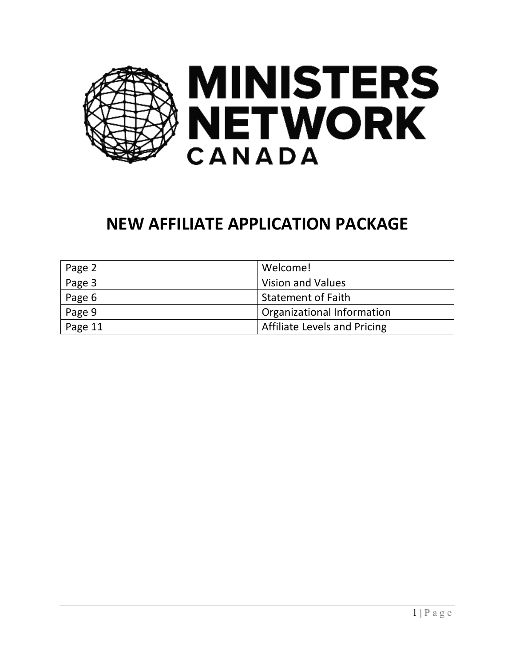

# **NEW AFFILIATE APPLICATION PACKAGE**

| Page 2  | Welcome!                            |  |
|---------|-------------------------------------|--|
| Page 3  | Vision and Values                   |  |
| Page 6  | Statement of Faith                  |  |
| Page 9  | Organizational Information          |  |
| Page 11 | <b>Affiliate Levels and Pricing</b> |  |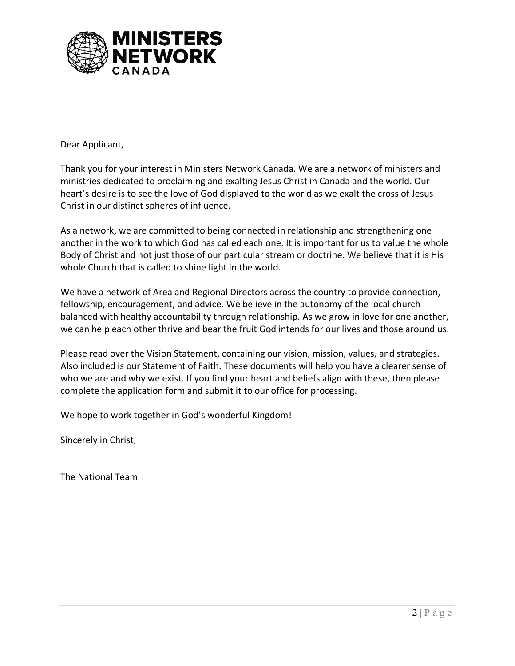

Dear Applicant,

Thank you for your interest in Ministers Network Canada. We are a network of ministers and ministries dedicated to proclaiming and exalting Jesus Christ in Canada and the world. Our heart's desire is to see the love of God displayed to the world as we exalt the cross of Jesus Christ in our distinct spheres of influence.

As a network, we are committed to being connected in relationship and strengthening one another in the work to which God has called each one. It is important for us to value the whole Body of Christ and not just those of our particular stream or doctrine. We believe that it is His whole Church that is called to shine light in the world.

We have a network of Area and Regional Directors across the country to provide connection, fellowship, encouragement, and advice. We believe in the autonomy of the local church balanced with healthy accountability through relationship. As we grow in love for one another, we can help each other thrive and bear the fruit God intends for our lives and those around us.

Please read over the Vision Statement, containing our vision, mission, values, and strategies. Also included is our Statement of Faith. These documents will help you have a clearer sense of who we are and why we exist. If you find your heart and beliefs align with these, then please complete the application form and submit it to our office for processing.

We hope to work together in God's wonderful Kingdom!

Sincerely in Christ,

The National Team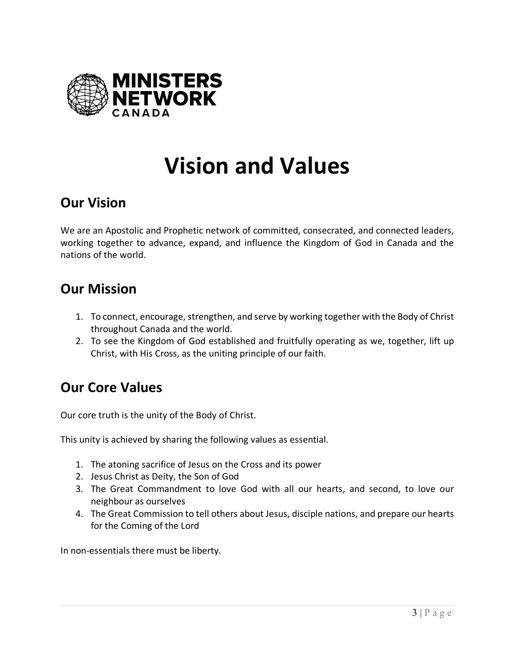

# **Vision and Values**

# **Our Vision**

We are an Apostolic and Prophetic network of committed, consecrated, and connected leaders, working together to advance, expand, and influence the Kingdom of God in Canada and the nations of the world.

# **Our Mission**

- 1. To connect, encourage, strengthen, and serve by working together with the Body of Christ throughout Canada and the world.
- 2. To see the Kingdom of God established and fruitfully operating as we, together, lift up Christ, with His Cross, as the uniting principle of our faith.

# **Our Core Values**

Our core truth is the unity of the Body of Christ.

This unity is achieved by sharing the following values as essential.

- 1. The atoning sacrifice of Jesus on the Cross and its power
- 2. Jesus Christ as Deity, the Son of God
- 3. The Great Commandment to love God with all our hearts, and second, to love our neighbour as ourselves
- 4. The Great Commission to tell others about Jesus, disciple nations, and prepare our hearts for the Coming of the Lord

In non-essentials there must be liberty.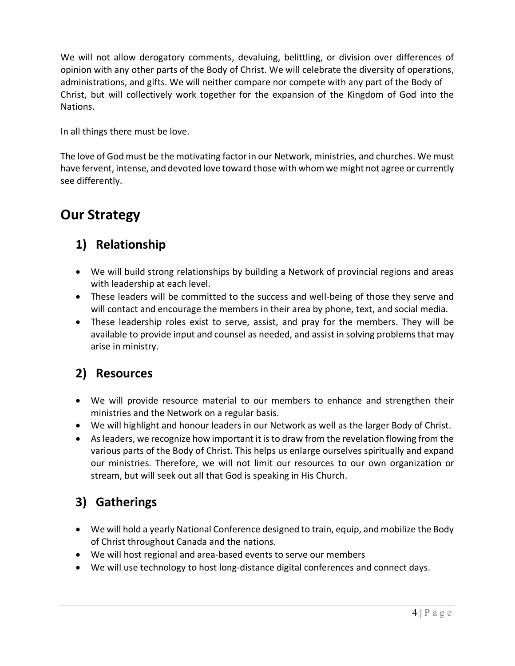We will not allow derogatory comments, devaluing, belittling, or division over differences of opinion with any other parts of the Body of Christ. We will celebrate the diversity of operations, administrations, and gifts. We will neither compare nor compete with any part of the Body of Christ, but will collectively work together for the expansion of the Kingdom of God into the Nations.

In all things there must be love.

The love of God must be the motivating factor in our Network, ministries, and churches. We must have fervent, intense, and devoted love toward those with whom we might not agree or currently see differently.

# **Our Strategy**

# **1) Relationship**

- We will build strong relationships by building a Network of provincial regions and areas with leadership at each level.
- These leaders will be committed to the success and well-being of those they serve and will contact and encourage the members in their area by phone, text, and social media.
- These leadership roles exist to serve, assist, and pray for the members. They will be available to provide input and counsel as needed, and assist in solving problems that may arise in ministry.

## **2) Resources**

- We will provide resource material to our members to enhance and strengthen their ministries and the Network on a regular basis.
- We will highlight and honour leaders in our Network as well as the larger Body of Christ.
- As leaders, we recognize how important it is to draw from the revelation flowing from the various parts of the Body of Christ. This helps us enlarge ourselves spiritually and expand our ministries. Therefore, we will not limit our resources to our own organization or stream, but will seek out all that God is speaking in His Church.

# **3) Gatherings**

- We will hold a yearly National Conference designed to train, equip, and mobilize the Body of Christ throughout Canada and the nations.
- We will host regional and area-based events to serve our members
- We will use technology to host long-distance digital conferences and connect days.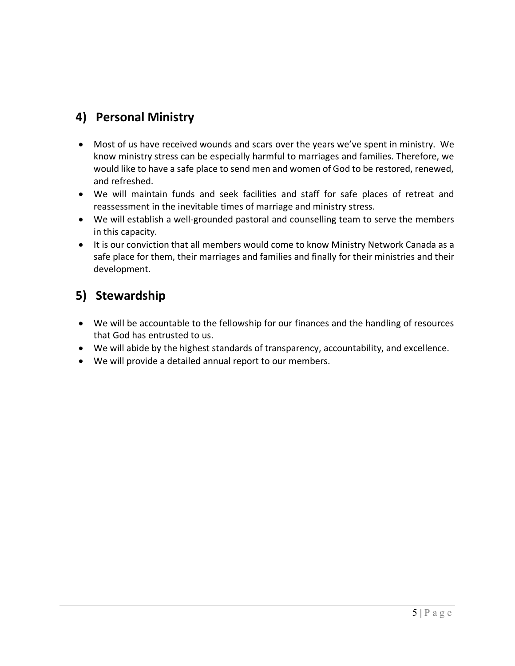## **4) Personal Ministry**

- Most of us have received wounds and scars over the years we've spent in ministry. We know ministry stress can be especially harmful to marriages and families. Therefore, we would like to have a safe place to send men and women of God to be restored, renewed, and refreshed.
- We will maintain funds and seek facilities and staff for safe places of retreat and reassessment in the inevitable times of marriage and ministry stress.
- We will establish a well-grounded pastoral and counselling team to serve the members in this capacity.
- It is our conviction that all members would come to know Ministry Network Canada as a safe place for them, their marriages and families and finally for their ministries and their development.

## **5) Stewardship**

- We will be accountable to the fellowship for our finances and the handling of resources that God has entrusted to us.
- We will abide by the highest standards of transparency, accountability, and excellence.
- We will provide a detailed annual report to our members.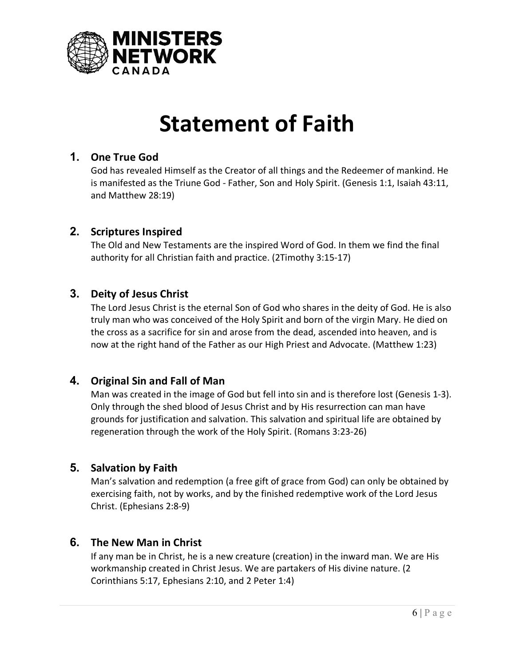

# **Statement of Faith**

#### **1. One True God**

God has revealed Himself as the Creator of all things and the Redeemer of mankind. He is manifested as the Triune God - Father, Son and Holy Spirit. (Genesis 1:1, Isaiah 43:11, and Matthew 28:19)

#### **2. Scriptures Inspired**

The Old and New Testaments are the inspired Word of God. In them we find the final authority for all Christian faith and practice. (2Timothy 3:15-17)

#### **3. Deity of Jesus Christ**

The Lord Jesus Christ is the eternal Son of God who shares in the deity of God. He is also truly man who was conceived of the Holy Spirit and born of the virgin Mary. He died on the cross as a sacrifice for sin and arose from the dead, ascended into heaven, and is now at the right hand of the Father as our High Priest and Advocate. (Matthew 1:23)

#### **4. Original Sin and Fall of Man**

Man was created in the image of God but fell into sin and is therefore lost (Genesis 1-3). Only through the shed blood of Jesus Christ and by His resurrection can man have grounds for justification and salvation. This salvation and spiritual life are obtained by regeneration through the work of the Holy Spirit. (Romans 3:23-26)

#### **5. Salvation by Faith**

Man's salvation and redemption (a free gift of grace from God) can only be obtained by exercising faith, not by works, and by the finished redemptive work of the Lord Jesus Christ. (Ephesians 2:8-9)

#### **6. The New Man in Christ**

If any man be in Christ, he is a new creature (creation) in the inward man. We are His workmanship created in Christ Jesus. We are partakers of His divine nature. (2 Corinthians 5:17, Ephesians 2:10, and 2 Peter 1:4)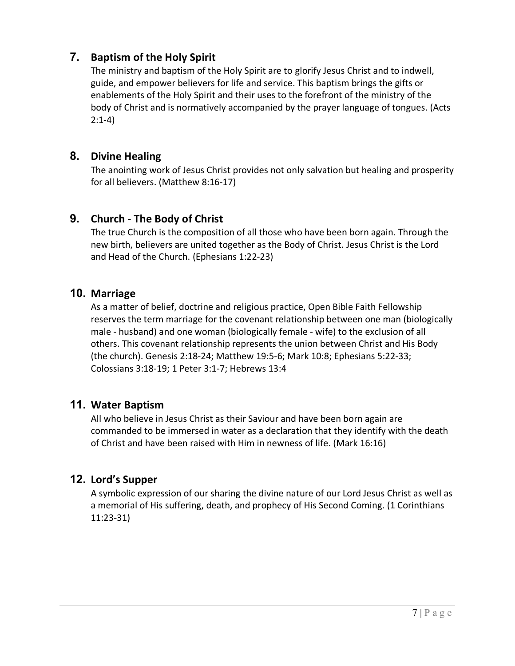#### **7. Baptism of the Holy Spirit**

The ministry and baptism of the Holy Spirit are to glorify Jesus Christ and to indwell, guide, and empower believers for life and service. This baptism brings the gifts or enablements of the Holy Spirit and their uses to the forefront of the ministry of the body of Christ and is normatively accompanied by the prayer language of tongues. (Acts 2:1-4)

#### **8. Divine Healing**

The anointing work of Jesus Christ provides not only salvation but healing and prosperity for all believers. (Matthew 8:16-17)

#### **9. Church - The Body of Christ**

The true Church is the composition of all those who have been born again. Through the new birth, believers are united together as the Body of Christ. Jesus Christ is the Lord and Head of the Church. (Ephesians 1:22-23)

#### **10. Marriage**

As a matter of belief, doctrine and religious practice, Open Bible Faith Fellowship reserves the term marriage for the covenant relationship between one man (biologically male - husband) and one woman (biologically female - wife) to the exclusion of all others. This covenant relationship represents the union between Christ and His Body (the church). Genesis 2:18-24; Matthew 19:5-6; Mark 10:8; Ephesians 5:22-33; Colossians 3:18-19; 1 Peter 3:1-7; Hebrews 13:4

#### **11. Water Baptism**

All who believe in Jesus Christ as their Saviour and have been born again are commanded to be immersed in water as a declaration that they identify with the death of Christ and have been raised with Him in newness of life. (Mark 16:16)

#### **12. Lord's Supper**

A symbolic expression of our sharing the divine nature of our Lord Jesus Christ as well as a memorial of His suffering, death, and prophecy of His Second Coming. (1 Corinthians 11:23-31)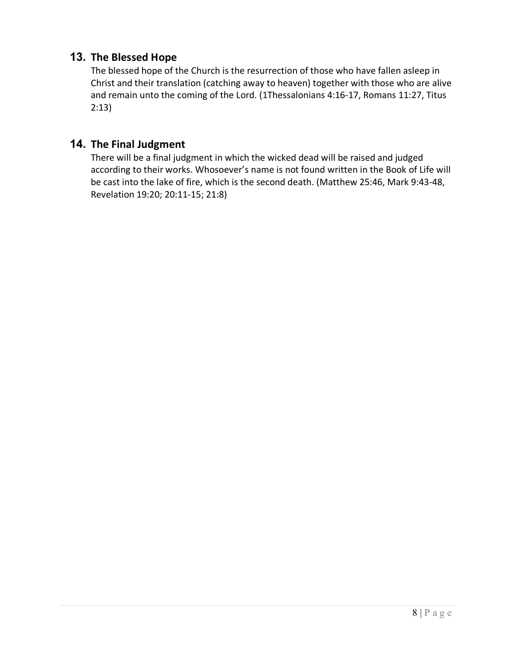#### **13. The Blessed Hope**

The blessed hope of the Church is the resurrection of those who have fallen asleep in Christ and their translation (catching away to heaven) together with those who are alive and remain unto the coming of the Lord. (1Thessalonians 4:16-17, Romans 11:27, Titus 2:13)

#### **14. The Final Judgment**

There will be a final judgment in which the wicked dead will be raised and judged according to their works. Whosoever's name is not found written in the Book of Life will be cast into the lake of fire, which is the second death. (Matthew 25:46, Mark 9:43-48, Revelation 19:20; 20:11-15; 21:8)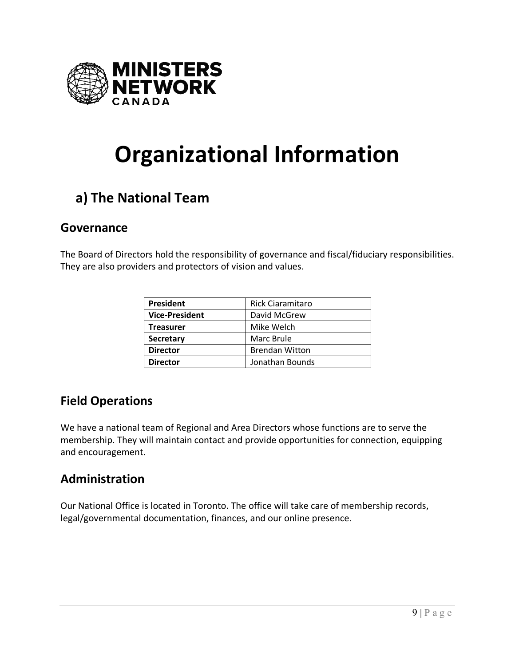

# **Organizational Information**

# **a) The National Team**

### **Governance**

The Board of Directors hold the responsibility of governance and fiscal/fiduciary responsibilities. They are also providers and protectors of vision and values.

| <b>President</b>      | Rick Ciaramitaro      |
|-----------------------|-----------------------|
| <b>Vice-President</b> | David McGrew          |
| <b>Treasurer</b>      | Mike Welch            |
| <b>Secretary</b>      | Marc Brule            |
| <b>Director</b>       | <b>Brendan Witton</b> |
| <b>Director</b>       | Jonathan Bounds       |

## **Field Operations**

We have a national team of Regional and Area Directors whose functions are to serve the membership. They will maintain contact and provide opportunities for connection, equipping and encouragement.

## **Administration**

Our National Office is located in Toronto. The office will take care of membership records, legal/governmental documentation, finances, and our online presence.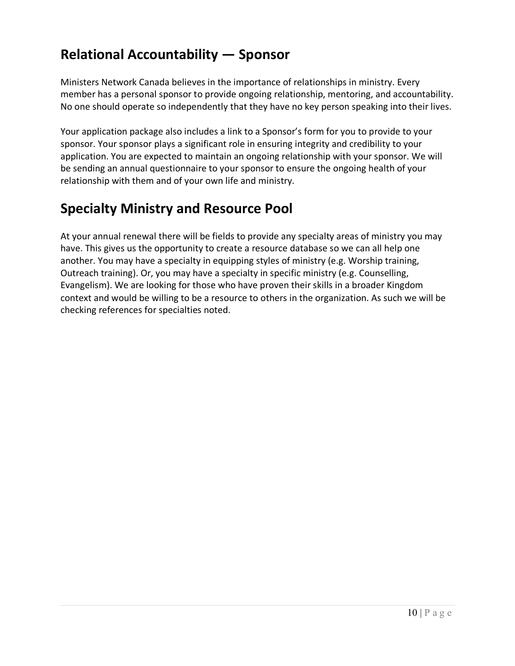# **Relational Accountability — Sponsor**

Ministers Network Canada believes in the importance of relationships in ministry. Every member has a personal sponsor to provide ongoing relationship, mentoring, and accountability. No one should operate so independently that they have no key person speaking into their lives.

Your application package also includes a link to a Sponsor's form for you to provide to your sponsor. Your sponsor plays a significant role in ensuring integrity and credibility to your application. You are expected to maintain an ongoing relationship with your sponsor. We will be sending an annual questionnaire to your sponsor to ensure the ongoing health of your relationship with them and of your own life and ministry.

# **Specialty Ministry and Resource Pool**

At your annual renewal there will be fields to provide any specialty areas of ministry you may have. This gives us the opportunity to create a resource database so we can all help one another. You may have a specialty in equipping styles of ministry (e.g. Worship training, Outreach training). Or, you may have a specialty in specific ministry (e.g. Counselling, Evangelism). We are looking for those who have proven their skills in a broader Kingdom context and would be willing to be a resource to others in the organization. As such we will be checking references for specialties noted.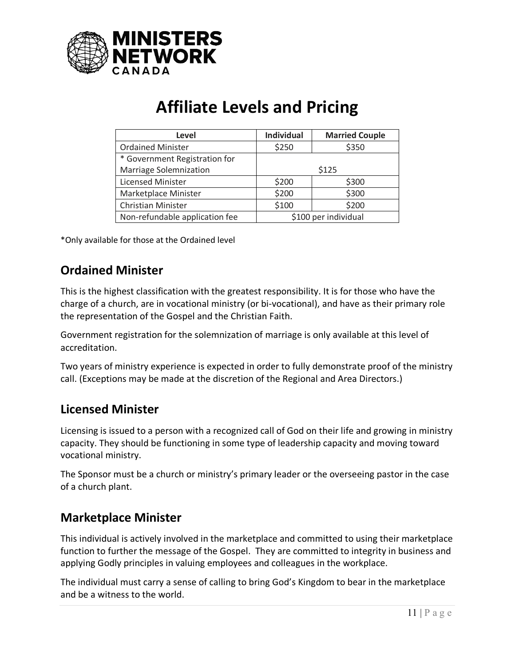

# **Affiliate Levels and Pricing**

| Level                          | <b>Individual</b>    | <b>Married Couple</b> |
|--------------------------------|----------------------|-----------------------|
| <b>Ordained Minister</b>       | \$250                | \$350                 |
| * Government Registration for  |                      |                       |
| <b>Marriage Solemnization</b>  | \$125                |                       |
| <b>Licensed Minister</b>       | \$200                | \$300                 |
| Marketplace Minister           | \$200                | \$300                 |
| <b>Christian Minister</b>      | \$100                | \$200                 |
| Non-refundable application fee | \$100 per individual |                       |

\*Only available for those at the Ordained level

## **Ordained Minister**

This is the highest classification with the greatest responsibility. It is for those who have the charge of a church, are in vocational ministry (or bi-vocational), and have as their primary role the representation of the Gospel and the Christian Faith.

Government registration for the solemnization of marriage is only available at this level of accreditation.

Two years of ministry experience is expected in order to fully demonstrate proof of the ministry call. (Exceptions may be made at the discretion of the Regional and Area Directors.)

### **Licensed Minister**

Licensing is issued to a person with a recognized call of God on their life and growing in ministry capacity. They should be functioning in some type of leadership capacity and moving toward vocational ministry.

The Sponsor must be a church or ministry's primary leader or the overseeing pastor in the case of a church plant.

## **Marketplace Minister**

This individual is actively involved in the marketplace and committed to using their marketplace function to further the message of the Gospel. They are committed to integrity in business and applying Godly principles in valuing employees and colleagues in the workplace.

The individual must carry a sense of calling to bring God's Kingdom to bear in the marketplace and be a witness to the world.